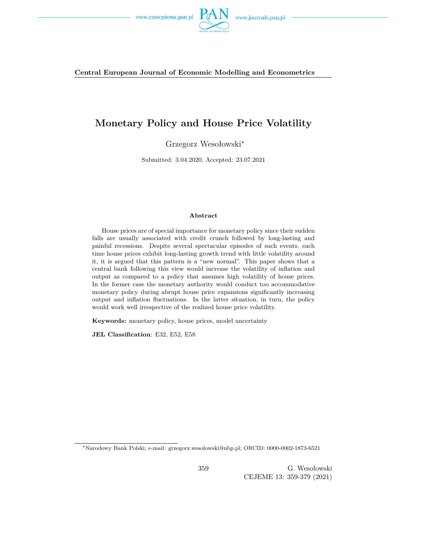



# **Monetary Policy and House Price Volatility**

Grzegorz Wesołowski<sup>∗</sup>

Submitted: 3.04.2020, Accepted: 23.07.2021

#### **Abstract**

House prices are of special importance for monetary policy since their sudden falls are usually associated with credit crunch followed by long-lasting and painful recessions. Despite several spectacular episodes of such events, each time house prices exhibit long-lasting growth trend with little volatility around it, it is argued that this pattern is a "new normal". This paper shows that a central bank following this view would increase the volatility of inflation and output as compared to a policy that assumes high volatility of house prices. In the former case the monetary authority would conduct too accommodative monetary policy during abrupt house price expansions significantly increasing output and inflation fluctuations. In the latter situation, in turn, the policy would work well irrespective of the realized house price volatility.

**Keywords:** monetary policy, house prices, model uncertainty

**JEL Classification**: E32, E52, E58

<sup>∗</sup>Narodowy Bank Polski; e-mail: grzegorz.wesolowski@nbp.pl; ORCID: 0000-0002-1873-6521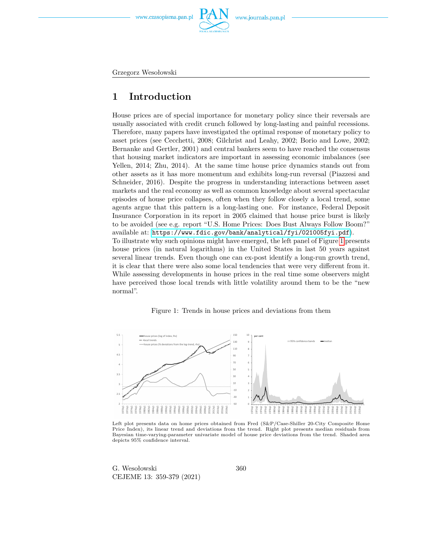

www.journals.pan.pl

Grzegorz Wesołowski

# **1 Introduction**

House prices are of special importance for monetary policy since their reversals are usually associated with credit crunch followed by long-lasting and painful recessions. Therefore, many papers have investigated the optimal response of monetary policy to asset prices (see Cecchetti, 2008; Gilchrist and Leahy, 2002; Borio and Lowe, 2002; Bernanke and Gertler, 2001) and central bankers seem to have reached the consensus that housing market indicators are important in assessing economic imbalances (see Yellen, 2014; Zhu, 2014). At the same time house price dynamics stands out from other assets as it has more momentum and exhibits long-run reversal (Piazzesi and Schneider, 2016). Despite the progress in understanding interactions between asset markets and the real economy as well as common knowledge about several spectacular episodes of house price collapses, often when they follow closely a local trend, some agents argue that this pattern is a long-lasting one. For instance, Federal Deposit Insurance Corporation in its report in 2005 claimed that house price burst is likely to be avoided (see e.g. report "U.S. Home Prices: Does Bust Always Follow Boom?" available at: <https://www.fdic.gov/bank/analytical/fyi/021005fyi.pdf>). To illustrate why such opinions might have emerged, the left panel of Figure [1](#page-1-0) presents house prices (in natural logarithms) in the United States in last 50 years against several linear trends. Even though one can ex-post identify a long-run growth trend, it is clear that there were also some local tendencies that were very different from it. While assessing developments in house prices in the real time some observers might have perceived those local trends with little volatility around them to be the "new normal".

#### Figure 1: Trends in house prices and deviations from them

<span id="page-1-0"></span>

Left plot presents data on home prices obtained from Fred (S&P/Case-Shiller 20-City Composite Home Price Index), its linear trend and deviations from the trend. Right plot presents median residuals from Bayesian time-varying-parameter univariate model of house price deviations from the trend. Shaded area depicts 95% confidence interval.

G. Wesołowski CEJEME 13: 359-379 (2021)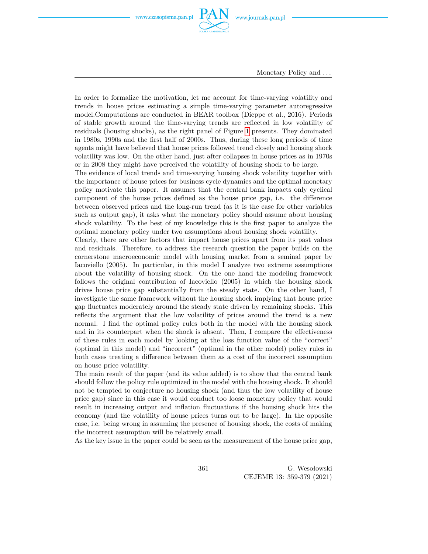

Monetary Policy and *. . .*

In order to formalize the motivation, let me account for time-varying volatility and trends in house prices estimating a simple time-varying parameter autoregressive model.Computations are conducted in BEAR toolbox (Dieppe et al., 2016). Periods of stable growth around the time-varying trends are reflected in low volatility of residuals (housing shocks), as the right panel of Figure [1](#page-1-0) presents. They dominated in 1980s, 1990s and the first half of 2000s. Thus, during these long periods of time agents might have believed that house prices followed trend closely and housing shock volatility was low. On the other hand, just after collapses in house prices as in 1970s or in 2008 they might have perceived the volatility of housing shock to be large.

The evidence of local trends and time-varying housing shock volatility together with the importance of house prices for business cycle dynamics and the optimal monetary policy motivate this paper. It assumes that the central bank impacts only cyclical component of the house prices defined as the house price gap, i.e. the difference between observed prices and the long-run trend (as it is the case for other variables such as output gap), it asks what the monetary policy should assume about housing shock volatility. To the best of my knowledge this is the first paper to analyze the optimal monetary policy under two assumptions about housing shock volatility.

Clearly, there are other factors that impact house prices apart from its past values and residuals. Therefore, to address the research question the paper builds on the cornerstone macroeconomic model with housing market from a seminal paper by Iacoviello (2005). In particular, in this model I analyze two extreme assumptions about the volatility of housing shock. On the one hand the modeling framework follows the original contribution of Iacoviello (2005) in which the housing shock drives house price gap substantially from the steady state. On the other hand, I investigate the same framework without the housing shock implying that house price gap fluctuates moderately around the steady state driven by remaining shocks. This reflects the argument that the low volatility of prices around the trend is a new normal. I find the optimal policy rules both in the model with the housing shock and in its counterpart when the shock is absent. Then, I compare the effectiveness of these rules in each model by looking at the loss function value of the "correct" (optimal in this model) and "incorrect" (optimal in the other model) policy rules in both cases treating a difference between them as a cost of the incorrect assumption on house price volatility.

The main result of the paper (and its value added) is to show that the central bank should follow the policy rule optimized in the model with the housing shock. It should not be tempted to conjecture no housing shock (and thus the low volatility of house price gap) since in this case it would conduct too loose monetary policy that would result in increasing output and inflation fluctuations if the housing shock hits the economy (and the volatility of house prices turns out to be large). In the opposite case, i.e. being wrong in assuming the presence of housing shock, the costs of making the incorrect assumption will be relatively small.

As the key issue in the paper could be seen as the measurement of the house price gap,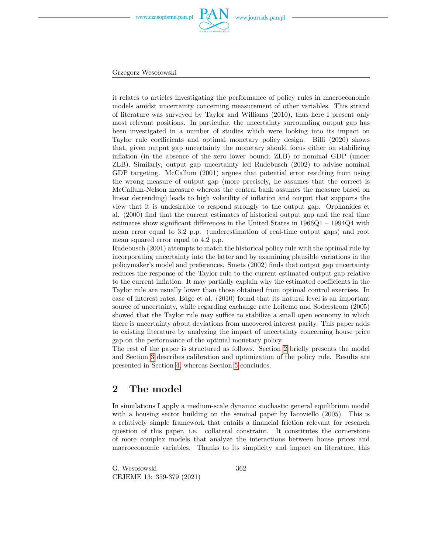

Grzegorz Wesołowski

it relates to articles investigating the performance of policy rules in macroeconomic models amidst uncertainty concerning measurement of other variables. This strand of literature was surveyed by Taylor and Williams (2010), thus here I present only most relevant positions. In particular, the uncertainty surrounding output gap has been investigated in a number of studies which were looking into its impact on Taylor rule coefficients and optimal monetary policy design. Billi (2020) shows that, given output gap uncertainty the monetary should focus either on stabilizing inflation (in the absence of the zero lower bound; ZLB) or nominal GDP (under ZLB). Similarly, output gap uncertainty led Rudebusch (2002) to advise nominal GDP targeting. McCallum (2001) argues that potential error resulting from using the wrong measure of output gap (more precisely, he assumes that the correct is McCallum-Nelson measure whereas the central bank assumes the measure based on linear detrending) leads to high volatility of inflation and output that supports the view that it is undesirable to respond strongly to the output gap. Orphanides et al. (2000) find that the current estimates of historical output gap and the real time estimates show significant differences in the United States in 1966Q1 – 1994Q4 with mean error equal to 3.2 p.p. (underestimation of real-time output gaps) and root mean squared error equal to 4.2 p.p.

Rudebusch (2001) attempts to match the historical policy rule with the optimal rule by incorporating uncertainty into the latter and by examining plausible variations in the policymaker's model and preferences. Smets (2002) finds that output gap uncertainty reduces the response of the Taylor rule to the current estimated output gap relative to the current inflation. It may partially explain why the estimated coefficients in the Taylor rule are usually lower than those obtained from optimal control exercises. In case of interest rates, Edge et al. (2010) found that its natural level is an important source of uncertainty, while regarding exchange rate Leitemo and Soderstrom (2005) showed that the Taylor rule may suffice to stabilize a small open economy in which there is uncertainty about deviations from uncovered interest parity. This paper adds to existing literature by analyzing the impact of uncertainty concerning house price gap on the performance of the optimal monetary policy.

The rest of the paper is structured as follows. Section [2](#page-3-0) briefly presents the model and Section [3](#page-7-0) describes calibration and optimization of the policy rule. Results are presented in Section [4,](#page-12-0) whereas Section [5](#page-17-0) concludes.

## <span id="page-3-0"></span>**2 The model**

In simulations I apply a medium-scale dynamic stochastic general equilibrium model with a housing sector building on the seminal paper by Iacoviello (2005). This is a relatively simple framework that entails a financial friction relevant for research question of this paper, i.e. collateral constraint. It constitutes the cornerstone of more complex models that analyze the interactions between house prices and macroeconomic variables. Thanks to its simplicity and impact on literature, this

G. Wesołowski CEJEME 13: 359-379 (2021)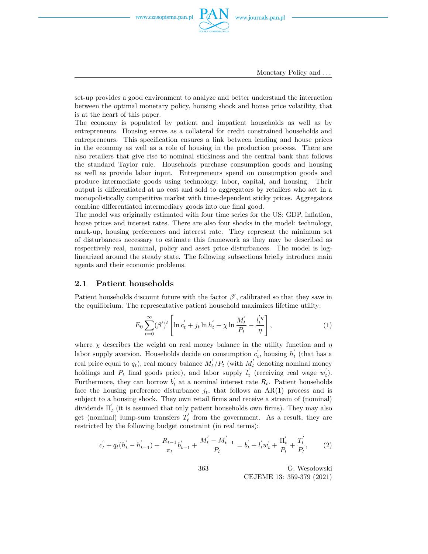

Monetary Policy and *. . .*

set-up provides a good environment to analyze and better understand the interaction between the optimal monetary policy, housing shock and house price volatility, that is at the heart of this paper.

The economy is populated by patient and impatient households as well as by entrepreneurs. Housing serves as a collateral for credit constrained households and entrepreneurs. This specification ensures a link between lending and house prices in the economy as well as a role of housing in the production process. There are also retailers that give rise to nominal stickiness and the central bank that follows the standard Taylor rule. Households purchase consumption goods and housing as well as provide labor input. Entrepreneurs spend on consumption goods and produce intermediate goods using technology, labor, capital, and housing. Their output is differentiated at no cost and sold to aggregators by retailers who act in a monopolistically competitive market with time-dependent sticky prices. Aggregators combine differentiated intermediary goods into one final good.

The model was originally estimated with four time series for the US: GDP, inflation, house prices and interest rates. There are also four shocks in the model: technology, mark-up, housing preferences and interest rate. They represent the minimum set of disturbances necessary to estimate this framework as they may be described as respectively real, nominal, policy and asset price disturbances. The model is loglinearized around the steady state. The following subsections briefly introduce main agents and their economic problems.

#### **2.1 Patient households**

Patient households discount future with the factor  $\beta'$ , calibrated so that they save in the equilibrium. The representative patient household maximizes lifetime utility:

$$
E_0 \sum_{t=0}^{\infty} (\beta')^t \left[ \ln c_t' + j_t \ln h_t' + \chi \ln \frac{M_t'}{P_t} - \frac{l_t'}{\eta} \right],
$$
 (1)

where  $\chi$  describes the weight on real money balance in the utility function and  $\eta$ labor supply aversion. Households decide on consumption  $c'_{t}$ , housing  $h'_{t}$  (that has a real price equal to  $q_t$ ), real money balance  $M'_t/P_t$  (with  $M'_t$  denoting nominal money holdings and  $P_t$  final goods price), and labor supply  $l'_t$  (receiving real wage  $w'_t$ ). Furthermore, they can borrow  $b<sub>t</sub><sup>'</sup>$  at a nominal interest rate  $R<sub>t</sub>$ . Patient households face the housing preference disturbance  $j_t$ , that follows an AR(1) process and is subject to a housing shock. They own retail firms and receive a stream of (nominal) dividends  $\Pi'_{t}$  (it is assumed that only patient households own firms). They may also get (nominal) lump-sum transfers  $T_t^{\prime}$  from the government. As a result, they are restricted by the following budget constraint (in real terms):

$$
c'_{t} + q_{t}(h'_{t} - h'_{t-1}) + \frac{R_{t-1}}{\pi_{t}}b'_{t-1} + \frac{M'_{t} - M'_{t-1}}{P_{t}} = b'_{t} + l'_{t}w'_{t} + \frac{\Pi'_{t}}{P_{t}} + \frac{T'_{t}}{P_{t}},
$$
 (2)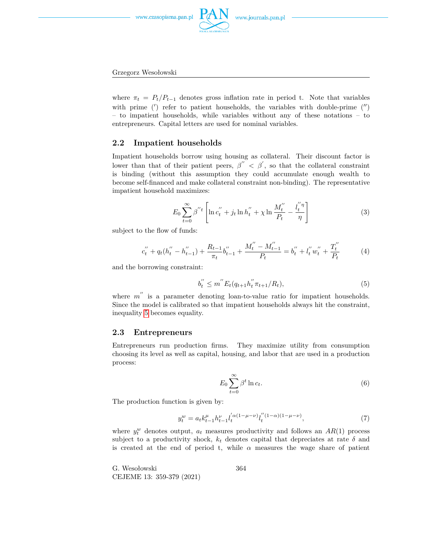

www.journals.pan.pl



where  $\pi_t = P_t/P_{t-1}$  denotes gross inflation rate in period t. Note that variables with prime  $(')$  refer to patient households, the variables with double-prime  $('')$ – to impatient households, while variables without any of these notations – to entrepreneurs. Capital letters are used for nominal variables.

### **2.2 Impatient households**

Impatient households borrow using housing as collateral. Their discount factor is lower than that of their patient peers,  $\beta'' < \beta'$ , so that the collateral constraint is binding (without this assumption they could accumulate enough wealth to become self-financed and make collateral constraint non-binding). The representative impatient household maximizes:

$$
E_0 \sum_{t=0}^{\infty} \beta''^t \left[ \ln c_t'' + j_t \ln h_t'' + \chi \ln \frac{M_t''}{P_t} - \frac{l_t'' \eta}{\eta} \right]
$$
 (3)

subject to the flow of funds:

$$
c_t'' + q_t(h_t'' - h_{t-1}'') + \frac{R_{t-1}}{\pi_t}b_{t-1}'' + \frac{M_t'' - M_{t-1}''}{P_t} = b_t'' + l_t''w_t'' + \frac{T_t''}{P_t}
$$
(4)

and the borrowing constraint:

<span id="page-5-0"></span>
$$
b_t'' \le m'' E_t(q_{t+1} h_t'' \pi_{t+1}/R_t), \tag{5}
$$

where  $m^{''}$  is a parameter denoting loan-to-value ratio for impatient households. Since the model is calibrated so that impatient households always hit the constraint, inequality [5](#page-5-0) becomes equality.

### **2.3 Entrepreneurs**

Entrepreneurs run production firms. They maximize utility from consumption choosing its level as well as capital, housing, and labor that are used in a production process:

$$
E_0 \sum_{t=0}^{\infty} \beta^t \ln c_t.
$$
 (6)

The production function is given by:

$$
y_t^w = a_t k_{t-1}^\mu h_{t-1}^\nu l_t^{'\alpha(1-\mu-\nu)} l_t^{''(1-\alpha)(1-\mu-\nu)},\tag{7}
$$

where  $y_t^w$  denotes output,  $a_t$  measures productivity and follows an  $AR(1)$  process subject to a productivity shock,  $k_t$  denotes capital that depreciates at rate  $\delta$  and is created at the end of period t, while  $\alpha$  measures the wage share of patient

G. Wesołowski CEJEME 13: 359-379 (2021)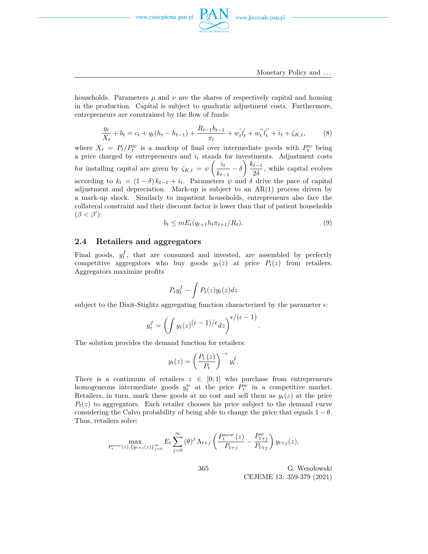

households. Parameters  $\mu$  and  $\nu$  are the shares of respectively capital and housing in the production. Capital is subject to quadratic adjustment costs. Furthermore, entrepreneurs are constrained by the flow of funds:

$$
\frac{y_t}{X_t} + b_t = c_t + q_t(h_t - h_{t-1}) + \frac{R_{t-1}b_{t-1}}{\pi_t} + w'_t l'_t + w''_t l''_t + i_t + \zeta_{K,t},
$$
 (8)

where  $X_t = P_t/P_t^w$  is a markup of final over intermediate goods with  $P_t^w$  being a price charged by entrepreneurs and *i<sup>t</sup>* stands for investments. Adjustment costs for installing capital are given by  $\zeta_{K,t} = \psi \left( \frac{i_t}{t} \right)$  $\frac{i_t}{k_{t-1}} - \delta$  *f*  $\frac{k_{t-1}}{2\delta}$  $\frac{i-1}{2\delta}$ , while capital evolves according to  $k_t = (1 - \delta) k_{t-1} + i_t$ . Parameters  $\psi$  and  $\delta$  drive the pace of capital adjustment and depreciation. Mark-up is subject to an AR(1) process driven by a mark-up shock. Similarly to impatient households, entrepreneurs also face the collateral constraint and their discount factor is lower than that of patient households  $(\beta < \beta')$ :

$$
b_t \le m E_t(q_{t+1}h_t \pi_{t+1}/R_t). \tag{9}
$$

*.*

### **2.4 Retailers and aggregators**

Final goods,  $y_t^f$ , that are consumed and invested, are assembled by perfectly competitive aggregators who buy goods  $y_t(z)$  at price  $P_t(z)$  from retailers. Aggregators maximize profits

$$
P_t y_t^f - \int P_t(z) y_t(z) dz
$$

subject to the Dixit-Stiglitz aggregating function characterized by the parameter  $\epsilon$ :

$$
y_t^f = \left(\int y_t(z)^{(\epsilon - 1)/\epsilon} dz\right)^{\epsilon/(\epsilon - 1)}
$$

The solution provides the demand function for retailers:

$$
y_t(z) = \left(\frac{P_t(z)}{P_t}\right)^{-\epsilon} y_t^f.
$$

There is a continuum of retailers  $z \in [0,1]$  who purchase from entrepreneurs homogeneous intermediate goods  $y_t^w$  at the price  $P_t^w$  in a competitive market. Retailers, in turn, mark these goods at no cost and sell them as  $y_t(z)$  at the price  $P_t(z)$  to aggregators. Each retailer chooses his price subject to the demand curve considering the Calvo probability of being able to change the price that equals  $1 - \theta$ . Thus, retailers solve:

$$
\max_{P_t^{new}(z), \{y_{t+j}(z)\}_{j=0}^{\infty}} E_t \sum_{j=0}^{\infty} (\theta)^j \Lambda_{t+j} \left( \frac{P_t^{new}(z)}{P_{t+j}} - \frac{P_{t+j}^w}{P_{t+j}} \right) y_{t+j}(z),
$$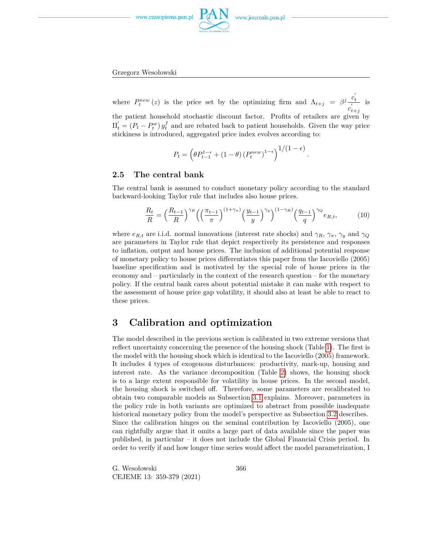

www.journals.pan.pl



where  $P_t^{new}(z)$  is the price set by the optimizing firm and  $\Lambda_{t+j} = \beta^j \frac{c'_t}{\beta^j}$  $c'_{t+j}$ is the patient household stochastic discount factor. Profits of retailers are given by  $\Pi'_{t} = (P_{t} - P_{t}^{w}) y_{t}^{f}$  and are rebated back to patient households. Given the way price stickiness is introduced, aggregated price index evolves according to:

$$
P_t = \left(\theta P_{t-1}^{1-\epsilon} + (1-\theta) (P_t^{new})^{1-\epsilon}\right)^{1/(1-\epsilon)}.
$$

### **2.5 The central bank**

The central bank is assumed to conduct monetary policy according to the standard backward-looking Taylor rule that includes also house prices.

$$
\frac{R_t}{R} = \left(\frac{R_{t-1}}{R}\right)^{\gamma_R} \left(\left(\frac{\pi_{t-1}}{\pi}\right)^{(1+\gamma_{\pi})} \left(\frac{y_{t-1}}{y}\right)^{\gamma_y}\right)^{(1-\gamma_R)} \left(\frac{q_{t-1}}{q}\right)^{\gamma_Q} e_{R,t},\tag{10}
$$

where  $e_{R,t}$  are i.i.d. normal innovations (interest rate shocks) and  $\gamma_R$ ,  $\gamma_\pi$ ,  $\gamma_y$  and  $\gamma_Q$ are parameters in Taylor rule that depict respectively its persistence and responses to inflation, output and house prices. The inclusion of additional potential response of monetary policy to house prices differentiates this paper from the Iacoviello (2005) baseline specification and is motivated by the special role of house prices in the economy and – particularly in the context of the research question – for the monetary policy. If the central bank cares about potential mistake it can make with respect to the assessment of house price gap volatility, it should also at least be able to react to these prices.

## <span id="page-7-0"></span>**3 Calibration and optimization**

The model described in the previous section is calibrated in two extreme versions that reflect uncertainty concerning the presence of the housing shock (Table [1\)](#page-8-0). The first is the model with the housing shock which is identical to the Iacoviello (2005) framework. It includes 4 types of exogenous disturbances: productivity, mark-up, housing and interest rate. As the variance decomposition (Table [2\)](#page-8-1) shows, the housing shock is to a large extent responsible for volatility in house prices. In the second model, the housing shock is switched off. Therefore, some parameters are recalibrated to obtain two comparable models as Subsection [3.1](#page-9-0) explains. Moreover, parameters in the policy rule in both variants are optimized to abstract from possible inadequate historical monetary policy from the model's perspective as Subsection [3.2](#page-11-0) describes. Since the calibration hinges on the seminal contribution by Iacoviello (2005), one can rightfully argue that it omits a large part of data available since the paper was published, in particular – it does not include the Global Financial Crisis period. In order to verify if and how longer time series would affect the model parametrization, I

G. Wesołowski CEJEME 13: 359-379 (2021)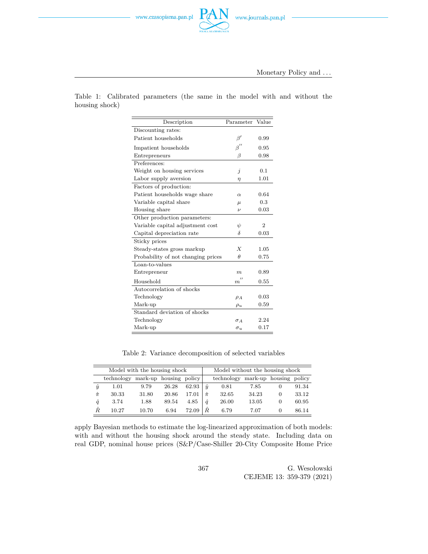<span id="page-8-0"></span>Table 1: Calibrated parameters (the same in the model with and without the housing shock)

| Description                        | Parameter             | Value          |
|------------------------------------|-----------------------|----------------|
| Discounting rates:                 |                       |                |
| Patient households                 | $\beta'$              | 0.99           |
| Impatient households               | $\beta''$             | 0.95           |
| Entrepreneurs                      | Β                     | 0.98           |
| Preferences:                       |                       |                |
| Weight on housing services         | j                     | 0.1            |
| Labor supply aversion              | $\eta$                | 1.01           |
| Factors of production:             |                       |                |
| Patient households wage share      | $\alpha$              | 0.64           |
| Variable capital share             | $\mu$                 | 0.3            |
| Housing share                      | $\nu$                 | 0.03           |
| Other production parameters:       |                       |                |
| Variable capital adjustment cost   | ψ                     | $\overline{2}$ |
| Capital depreciation rate          | δ                     | 0.03           |
| Sticky prices                      |                       |                |
| Steady-states gross markup         | $\boldsymbol{X}$      | 1.05           |
| Probability of not changing prices | $\theta$              | 0.75           |
| Loan-to-values                     |                       |                |
| Entrepreneur                       | m                     | 0.89           |
| Household                          | $^{\prime}$<br>$_{m}$ | 0.55           |
| Autocorrelation of shocks          |                       |                |
| Technology                         | $\rho_A$              | 0.03           |
| Mark-up                            | $\rho_u$              | 0.59           |
| Standard deviation of shocks       |                       |                |
| Technology                         | $\sigma_A$            | 2.24           |
| Mark-up                            | $\sigma_{u}$          | 0.17           |

Table 2: Variance decomposition of selected variables

<span id="page-8-1"></span>

| Model with the housing shock |            |                        | Model without the housing shock |       |             |            |                 |          |        |
|------------------------------|------------|------------------------|---------------------------------|-------|-------------|------------|-----------------|----------|--------|
|                              | technology | mark-up housing policy |                                 |       |             | technology | mark-up housing |          | policy |
| $\hat{y}$                    | 1.01       | 9.79                   | 26.28                           | 62.93 | $\hat{u}$   | 0.81       | 7.85            | $\theta$ | 91.34  |
| $\hat{\pi}$                  | 30.33      | 31.80                  | 20.86                           | 17.01 | $\hat{\pi}$ | 32.65      | 34.23           | 0        | 33.12  |
| â                            | 3.74       | 1.88                   | 89.54                           | 4.85  | â           | 26.00      | 13.05           | 0        | 60.95  |
| Ĥ.                           | 10.27      | 10.70                  | 6.94                            | 72.09 | Ŕ.          | 6.79       | 7.07            |          | 86.14  |

apply Bayesian methods to estimate the log-linearized approximation of both models: with and without the housing shock around the steady state. Including data on real GDP, nominal house prices (S&P/Case-Shiller 20-City Composite Home Price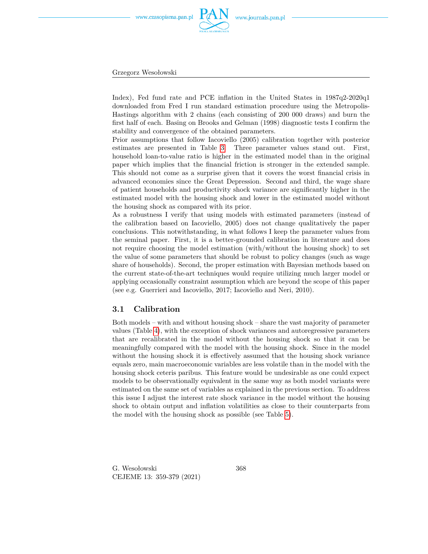

Grzegorz Wesołowski

Index), Fed fund rate and PCE inflation in the United States in 1987q2-2020q1 downloaded from Fred I run standard estimation procedure using the Metropolis-Hastings algorithm with 2 chains (each consisting of 200 000 draws) and burn the first half of each. Basing on Brooks and Gelman (1998) diagnostic tests I confirm the stability and convergence of the obtained parameters.

Prior assumptions that follow Iacoviello (2005) calibration together with posterior estimates are presented in Table [3.](#page-10-0) Three parameter values stand out. First, household loan-to-value ratio is higher in the estimated model than in the original paper which implies that the financial friction is stronger in the extended sample. This should not come as a surprise given that it covers the worst financial crisis in advanced economies since the Great Depression. Second and third, the wage share of patient households and productivity shock variance are significantly higher in the estimated model with the housing shock and lower in the estimated model without the housing shock as compared with its prior.

As a robustness I verify that using models with estimated parameters (instead of the calibration based on Iacoviello, 2005) does not change qualitatively the paper conclusions. This notwithstanding, in what follows I keep the parameter values from the seminal paper. First, it is a better-grounded calibration in literature and does not require choosing the model estimation (with/without the housing shock) to set the value of some parameters that should be robust to policy changes (such as wage share of households). Second, the proper estimation with Bayesian methods based on the current state-of-the-art techniques would require utilizing much larger model or applying occasionally constraint assumption which are beyond the scope of this paper (see e.g. Guerrieri and Iacoviello, 2017; Iacoviello and Neri, 2010).

#### <span id="page-9-0"></span>**3.1 Calibration**

Both models – with and without housing shock – share the vast majority of parameter values (Table [4\)](#page-11-1), with the exception of shock variances and autoregressive parameters that are recalibrated in the model without the housing shock so that it can be meaningfully compared with the model with the housing shock. Since in the model without the housing shock it is effectively assumed that the housing shock variance equals zero, main macroeconomic variables are less volatile than in the model with the housing shock ceteris paribus. This feature would be undesirable as one could expect models to be observationally equivalent in the same way as both model variants were estimated on the same set of variables as explained in the previous section. To address this issue I adjust the interest rate shock variance in the model without the housing shock to obtain output and inflation volatilities as close to their counterparts from the model with the housing shock as possible (see Table [5\)](#page-11-2).

G. Wesołowski CEJEME 13: 359-379 (2021)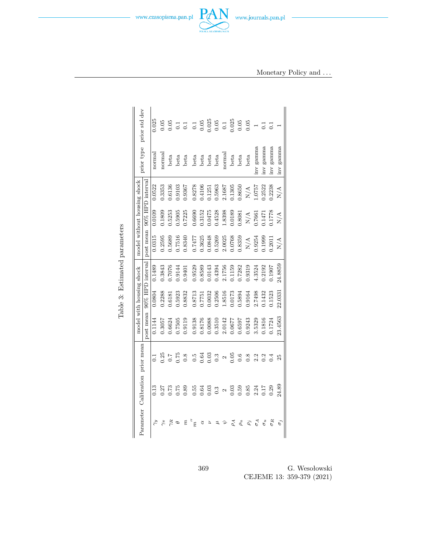<span id="page-10-0"></span>

Table 3: Estimated parameters Table 3: Estimated parameters

> 369 G. Wesołowski CEJEME 13: 359-379 (2021)

www.czasopisma.pan.pl

www.journals.pan.pl

Monetary Policy and *. . .*

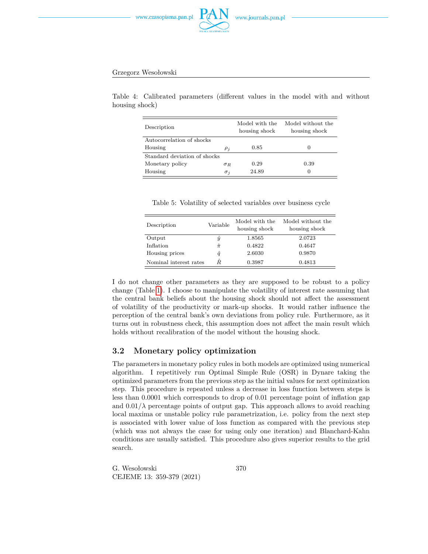

#### Grzegorz Wesołowski

<span id="page-11-1"></span>Table 4: Calibrated parameters (different values in the model with and without housing shock)

| Description                  |            | Model with the<br>housing shock | Model without the<br>housing shock |
|------------------------------|------------|---------------------------------|------------------------------------|
| Autocorrelation of shocks    |            |                                 |                                    |
| Housing                      | $\rho_j$   | 0.85                            | $\theta$                           |
| Standard deviation of shocks |            |                                 |                                    |
| Monetary policy              | $\sigma_R$ | 0.29                            | 0.39                               |
| Housing                      | $\sigma_i$ | 24.89                           | $\theta$                           |

Table 5: Volatility of selected variables over business cycle

<span id="page-11-2"></span>

| Description            | Variable    | Model with the<br>housing shock | Model without the<br>housing shock |
|------------------------|-------------|---------------------------------|------------------------------------|
| Output                 | $\hat{y}$   | 1.8565                          | 2.0723                             |
| Inflation              | $\hat{\pi}$ | 0.4822                          | 0.4647                             |
| Housing prices         | ĝ           | 2.6030                          | 0.9870                             |
| Nominal interest rates | Â           | 0.3987                          | 0.4813                             |

I do not change other parameters as they are supposed to be robust to a policy change (Table [1\)](#page-8-0). I choose to manipulate the volatility of interest rate assuming that the central bank beliefs about the housing shock should not affect the assessment of volatility of the productivity or mark-up shocks. It would rather influence the perception of the central bank's own deviations from policy rule. Furthermore, as it turns out in robustness check, this assumption does not affect the main result which holds without recalibration of the model without the housing shock.

### <span id="page-11-0"></span>**3.2 Monetary policy optimization**

The parameters in monetary policy rules in both models are optimized using numerical algorithm. I repetitively run Optimal Simple Rule (OSR) in Dynare taking the optimized parameters from the previous step as the initial values for next optimization step. This procedure is repeated unless a decrease in loss function between steps is less than 0.0001 which corresponds to drop of 0.01 percentage point of inflation gap and  $0.01/\lambda$  percentage points of output gap. This approach allows to avoid reaching local maxima or unstable policy rule parametrization, i.e. policy from the next step is associated with lower value of loss function as compared with the previous step (which was not always the case for using only one iteration) and Blanchard-Kahn conditions are usually satisfied. This procedure also gives superior results to the grid search.

G. Wesołowski CEJEME 13: 359-379 (2021)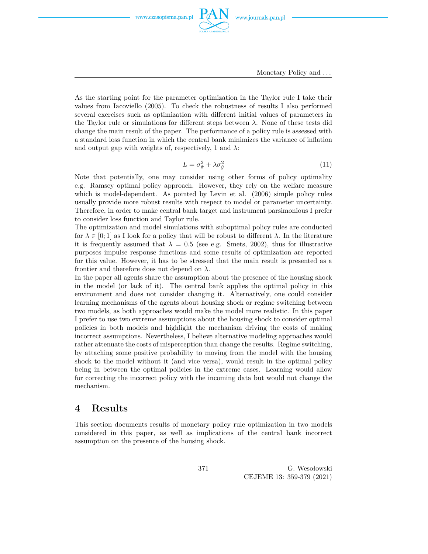

Monetary Policy and *. . .*

As the starting point for the parameter optimization in the Taylor rule I take their values from Iacoviello (2005). To check the robustness of results I also performed several exercises such as optimization with different initial values of parameters in the Taylor rule or simulations for different steps between *λ*. None of these tests did change the main result of the paper. The performance of a policy rule is assessed with a standard loss function in which the central bank minimizes the variance of inflation and output gap with weights of, respectively, 1 and  $\lambda$ :

$$
L = \sigma_{\hat{\pi}}^2 + \lambda \sigma_{\hat{y}}^2 \tag{11}
$$

Note that potentially, one may consider using other forms of policy optimality e.g. Ramsey optimal policy approach. However, they rely on the welfare measure which is model-dependent. As pointed by Levin et al. (2006) simple policy rules usually provide more robust results with respect to model or parameter uncertainty. Therefore, in order to make central bank target and instrument parsimonious I prefer to consider loss function and Taylor rule.

The optimization and model simulations with suboptimal policy rules are conducted for  $\lambda \in [0; 1]$  as I look for a policy that will be robust to different  $\lambda$ . In the literature it is frequently assumed that  $\lambda = 0.5$  (see e.g. Smets, 2002), thus for illustrative purposes impulse response functions and some results of optimization are reported for this value. However, it has to be stressed that the main result is presented as a frontier and therefore does not depend on *λ*.

In the paper all agents share the assumption about the presence of the housing shock in the model (or lack of it). The central bank applies the optimal policy in this environment and does not consider changing it. Alternatively, one could consider learning mechanisms of the agents about housing shock or regime switching between two models, as both approaches would make the model more realistic. In this paper I prefer to use two extreme assumptions about the housing shock to consider optimal policies in both models and highlight the mechanism driving the costs of making incorrect assumptions. Nevertheless, I believe alternative modeling approaches would rather attenuate the costs of misperception than change the results. Regime switching, by attaching some positive probability to moving from the model with the housing shock to the model without it (and vice versa), would result in the optimal policy being in between the optimal policies in the extreme cases. Learning would allow for correcting the incorrect policy with the incoming data but would not change the mechanism.

## <span id="page-12-0"></span>**4 Results**

This section documents results of monetary policy rule optimization in two models considered in this paper, as well as implications of the central bank incorrect assumption on the presence of the housing shock.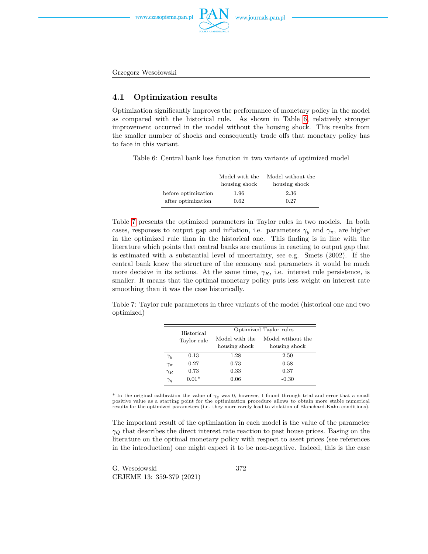



Grzegorz Wesołowski

### **4.1 Optimization results**

Optimization significantly improves the performance of monetary policy in the model as compared with the historical rule. As shown in Table [6,](#page-13-0) relatively stronger improvement occurred in the model without the housing shock. This results from the smaller number of shocks and consequently trade offs that monetary policy has to face in this variant.

<span id="page-13-0"></span>Table 6: Central bank loss function in two variants of optimized model

|                     | Model with the<br>housing shock | Model without the<br>housing shock |
|---------------------|---------------------------------|------------------------------------|
| before optimization | 1.96                            | 2.36                               |
| after optimization  | 0.62                            | 0.27                               |

Table [7](#page-13-1) presents the optimized parameters in Taylor rules in two models. In both cases, responses to output gap and inflation, i.e. parameters  $\gamma_y$  and  $\gamma_\pi$ , are higher in the optimized rule than in the historical one. This finding is in line with the literature which points that central banks are cautious in reacting to output gap that is estimated with a substantial level of uncertainty, see e.g. Smets (2002). If the central bank knew the structure of the economy and parameters it would be much more decisive in its actions. At the same time,  $\gamma_R$ , i.e. interest rule persistence, is smaller. It means that the optimal monetary policy puts less weight on interest rate smoothing than it was the case historically.

<span id="page-13-1"></span>Table 7: Taylor rule parameters in three variants of the model (historical one and two optimized)

|              | Historical  | Optimized Taylor rules          |                                    |  |  |
|--------------|-------------|---------------------------------|------------------------------------|--|--|
|              | Taylor rule | Model with the<br>housing shock | Model without the<br>housing shock |  |  |
| $\gamma_y$   | 0.13        | 1.28                            | 2.50                               |  |  |
| $\gamma_\pi$ | 0.27        | 0.73                            | 0.58                               |  |  |
| $\gamma_R$   | 0.73        | 0.33                            | 0.37                               |  |  |
| $\gamma_q$   | $0.01*$     | 0.06                            | $-0.30$                            |  |  |

\* In the original calibration the value of *γ<sup>q</sup>* was 0, however, I found through trial and error that a small positive value as a starting point for the optimization procedure allows to obtain more stable numerical results for the optimized parameters (i.e. they more rarely lead to violation of Blanchard-Kahn conditions).

The important result of the optimization in each model is the value of the parameter *γ<sup>Q</sup>* that describes the direct interest rate reaction to past house prices. Basing on the literature on the optimal monetary policy with respect to asset prices (see references in the introduction) one might expect it to be non-negative. Indeed, this is the case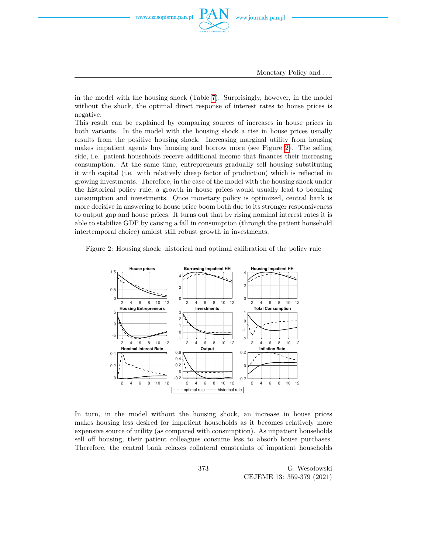

Monetary Policy and *. . .*

in the model with the housing shock (Table [7\)](#page-13-1). Surprisingly, however, in the model without the shock, the optimal direct response of interest rates to house prices is negative.

This result can be explained by comparing sources of increases in house prices in both variants. In the model with the housing shock a rise in house prices usually results from the positive housing shock. Increasing marginal utility from housing makes impatient agents buy housing and borrow more (see Figure [2\)](#page-14-0). The selling side, i.e. patient households receive additional income that finances their increasing consumption. At the same time, entrepreneurs gradually sell housing substituting it with capital (i.e. with relatively cheap factor of production) which is reflected in growing investments. Therefore, in the case of the model with the housing shock under the historical policy rule, a growth in house prices would usually lead to booming consumption and investments. Once monetary policy is optimized, central bank is more decisive in answering to house price boom both due to its stronger responsiveness to output gap and house prices. It turns out that by rising nominal interest rates it is able to stabilize GDP by causing a fall in consumption (through the patient household intertemporal choice) amidst still robust growth in investments.

<span id="page-14-0"></span>Figure 2: Housing shock: historical and optimal calibration of the policy rule



In turn, in the model without the housing shock, an increase in house prices makes housing less desired for impatient households as it becomes relatively more expensive source of utility (as compared with consumption). As impatient households sell off housing, their patient colleagues consume less to absorb house purchases. Therefore, the central bank relaxes collateral constraints of impatient households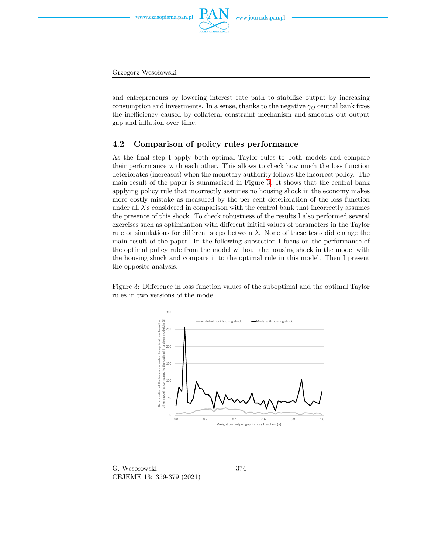www.journals.pan.pl

Grzegorz Wesołowski

and entrepreneurs by lowering interest rate path to stabilize output by increasing consumption and investments. In a sense, thanks to the negative  $\gamma_Q$  central bank fixes the inefficiency caused by collateral constraint mechanism and smooths out output gap and inflation over time.

### **4.2 Comparison of policy rules performance**

As the final step I apply both optimal Taylor rules to both models and compare their performance with each other. This allows to check how much the loss function deteriorates (increases) when the monetary authority follows the incorrect policy. The main result of the paper is summarized in Figure [3.](#page-15-0) It shows that the central bank applying policy rule that incorrectly assumes no housing shock in the economy makes more costly mistake as measured by the per cent deterioration of the loss function under all  $\lambda$ 's considered in comparison with the central bank that incorrectly assumes the presence of this shock. To check robustness of the results I also performed several exercises such as optimization with different initial values of parameters in the Taylor rule or simulations for different steps between  $\lambda$ . None of these tests did change the main result of the paper. In the following subsection I focus on the performance of the optimal policy rule from the model without the housing shock in the model with the housing shock and compare it to the optimal rule in this model. Then I present the opposite analysis.

<span id="page-15-0"></span>Figure 3: Difference in loss function values of the suboptimal and the optimal Taylor rules in two versions of the model



G. Wesołowski CEJEME 13: 359-379 (2021)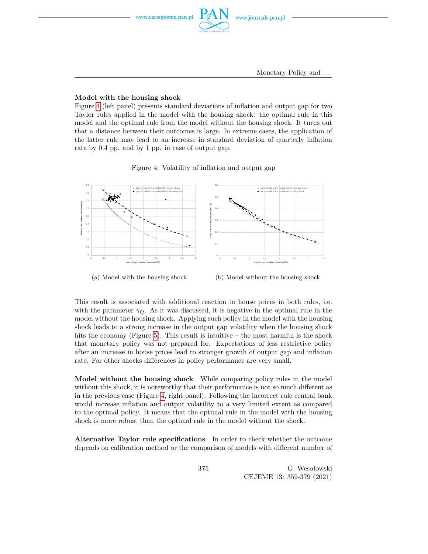#### **Model with the housing shock**

Figure [4](#page-16-0) (left panel) presents standard deviations of inflation and output gap for two Taylor rules applied in the model with the housing shock: the optimal rule in this model and the optimal rule from the model without the housing shock. It turns out that a distance between their outcomes is large. In extreme cases, the application of the latter rule may lead to an increase in standard deviation of quarterly inflation rate by 0.4 pp. and by 1 pp. in case of output gap.

Figure 4: Volatility of inflation and output gap

<span id="page-16-0"></span>

(a) Model with the housing shock

(b) Model without the housing shock

This result is associated with additional reaction to house prices in both rules, i.e. with the parameter  $\gamma_Q$ . As it was discussed, it is negative in the optimal rule in the model without the housing shock. Applying such policy in the model with the housing shock leads to a strong increase in the output gap volatility when the housing shock hits the economy (Figure [5\)](#page-17-1). This result is intuitive  $-$  the most harmful is the shock that monetary policy was not prepared for. Expectations of less restrictive policy after an increase in house prices lead to stronger growth of output gap and inflation rate. For other shocks differences in policy performance are very small.

**Model without the housing shock** While comparing policy rules in the model without this shock, it is noteworthy that their performance is not so much different as in the previous case (Figure [4,](#page-16-0) right panel). Following the incorrect rule central bank would increase inflation and output volatility to a very limited extent as compared to the optimal policy. It means that the optimal rule in the model with the housing shock is more robust than the optimal rule in the model without the shock.

**Alternative Taylor rule specifications** In order to check whether the outcome depends on calibration method or the comparison of models with different number of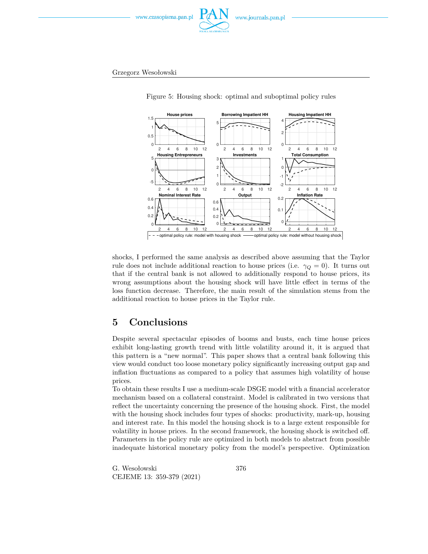

<span id="page-17-1"></span>Grzegorz Wesołowski



Figure 5: Housing shock: optimal and suboptimal policy rules

shocks, I performed the same analysis as described above assuming that the Taylor rule does not include additional reaction to house prices (i.e.  $\gamma_Q = 0$ ). It turns out that if the central bank is not allowed to additionally respond to house prices, its wrong assumptions about the housing shock will have little effect in terms of the loss function decrease. Therefore, the main result of the simulation stems from the additional reaction to house prices in the Taylor rule.

# <span id="page-17-0"></span>**5 Conclusions**

Despite several spectacular episodes of booms and busts, each time house prices exhibit long-lasting growth trend with little volatility around it, it is argued that this pattern is a "new normal". This paper shows that a central bank following this view would conduct too loose monetary policy significantly increasing output gap and inflation fluctuations as compared to a policy that assumes high volatility of house prices.

To obtain these results I use a medium-scale DSGE model with a financial accelerator mechanism based on a collateral constraint. Model is calibrated in two versions that reflect the uncertainty concerning the presence of the housing shock. First, the model with the housing shock includes four types of shocks: productivity, mark-up, housing and interest rate. In this model the housing shock is to a large extent responsible for volatility in house prices. In the second framework, the housing shock is switched off. Parameters in the policy rule are optimized in both models to abstract from possible inadequate historical monetary policy from the model's perspective. Optimization

G. Wesołowski CEJEME 13: 359-379 (2021)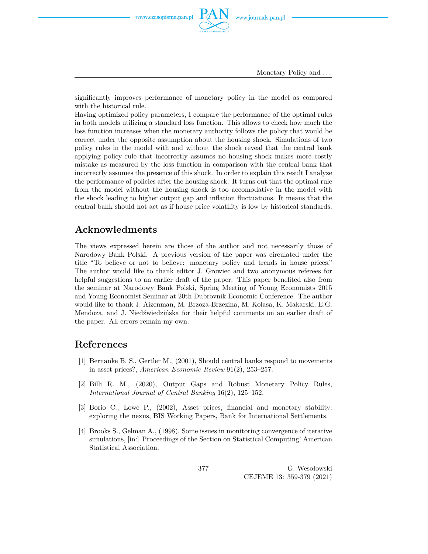Monetary Policy and *. . .*

significantly improves performance of monetary policy in the model as compared with the historical rule.

Having optimized policy parameters, I compare the performance of the optimal rules in both models utilizing a standard loss function. This allows to check how much the loss function increases when the monetary authority follows the policy that would be correct under the opposite assumption about the housing shock. Simulations of two policy rules in the model with and without the shock reveal that the central bank applying policy rule that incorrectly assumes no housing shock makes more costly mistake as measured by the loss function in comparison with the central bank that incorrectly assumes the presence of this shock. In order to explain this result I analyze the performance of policies after the housing shock. It turns out that the optimal rule from the model without the housing shock is too accomodative in the model with the shock leading to higher output gap and inflation fluctuations. It means that the central bank should not act as if house price volatility is low by historical standards.

# **Acknowledments**

The views expressed herein are those of the author and not necessarily those of Narodowy Bank Polski. A previous version of the paper was circulated under the title "To believe or not to believe: monetary policy and trends in house prices." The author would like to thank editor J. Growiec and two anonymous referees for helpful suggestions to an earlier draft of the paper. This paper benefited also from the seminar at Narodowy Bank Polski, Spring Meeting of Young Economists 2015 and Young Economist Seminar at 20th Dubrovnik Economic Conference. The author would like to thank J. Aizenman, M. Brzoza-Brzezina, M. Kolasa, K. Makarski, E.G. Mendoza, and J. Niedźwiedzińska for their helpful comments on an earlier draft of the paper. All errors remain my own.

## **References**

- [1] Bernanke B. S., Gertler M., (2001), Should central banks respond to movements in asset prices?, *American Economic Review* 91(2), 253–257.
- [2] Billi R. M., (2020), Output Gaps and Robust Monetary Policy Rules, *International Journal of Central Banking* 16(2), 125–152.
- [3] Borio C., Lowe P., (2002), Asset prices, financial and monetary stability: exploring the nexus, BIS Working Papers, Bank for International Settlements.
- [4] Brooks S., Gelman A., (1998), Some issues in monitoring convergence of iterative simulations, [in:] Proceedings of the Section on Statistical Computing' American Statistical Association.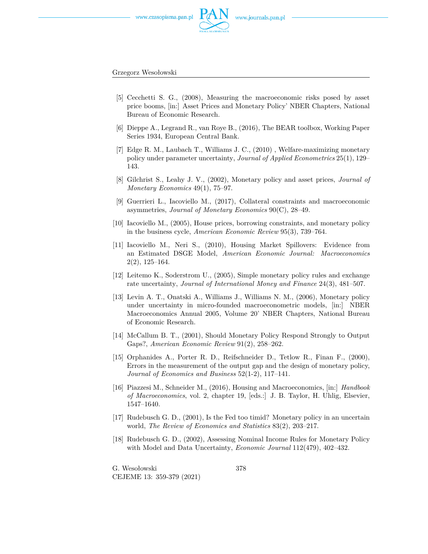



Grzegorz Wesołowski

- [5] Cecchetti S. G., (2008), Measuring the macroeconomic risks posed by asset price booms, [in:] Asset Prices and Monetary Policy' NBER Chapters, National Bureau of Economic Research.
- [6] Dieppe A., Legrand R., van Roye B., (2016), The BEAR toolbox, Working Paper Series 1934, European Central Bank.
- [7] Edge R. M., Laubach T., Williams J. C., (2010) , Welfare-maximizing monetary policy under parameter uncertainty, *Journal of Applied Econometrics* 25(1), 129– 143.
- [8] Gilchrist S., Leahy J. V., (2002), Monetary policy and asset prices, *Journal of Monetary Economics* 49(1), 75–97.
- [9] Guerrieri L., Iacoviello M., (2017), Collateral constraints and macroeconomic asymmetries, *Journal of Monetary Economics* 90(C), 28–49.
- [10] Iacoviello M., (2005), House prices, borrowing constraints, and monetary policy in the business cycle, *American Economic Review* 95(3), 739–764.
- [11] Iacoviello M., Neri S., (2010), Housing Market Spillovers: Evidence from an Estimated DSGE Model, *American Economic Journal: Macroeconomics* 2(2), 125–164.
- [12] Leitemo K., Soderstrom U., (2005), Simple monetary policy rules and exchange rate uncertainty, *Journal of International Money and Finance* 24(3), 481–507.
- [13] Levin A. T., Onatski A., Williams J., Williams N. M., (2006), Monetary policy under uncertainty in micro-founded macroeconometric models, [in:] NBER Macroeconomics Annual 2005, Volume 20' NBER Chapters, National Bureau of Economic Research.
- [14] McCallum B. T., (2001), Should Monetary Policy Respond Strongly to Output Gaps?, *American Economic Review* 91(2), 258–262.
- [15] Orphanides A., Porter R. D., Reifschneider D., Tetlow R., Finan F., (2000), Errors in the measurement of the output gap and the design of monetary policy, *Journal of Economics and Business* 52(1-2), 117–141.
- [16] Piazzesi M., Schneider M., (2016), Housing and Macroeconomics, [in:] *Handbook of Macroeconomics*, vol. 2, chapter 19, [eds.:] J. B. Taylor, H. Uhlig, Elsevier, 1547–1640.
- [17] Rudebusch G. D., (2001), Is the Fed too timid? Monetary policy in an uncertain world, *The Review of Economics and Statistics* 83(2), 203–217.
- [18] Rudebusch G. D., (2002), Assessing Nominal Income Rules for Monetary Policy with Model and Data Uncertainty, *Economic Journal* 112(479), 402–432.

G. Wesołowski CEJEME 13: 359-379 (2021)